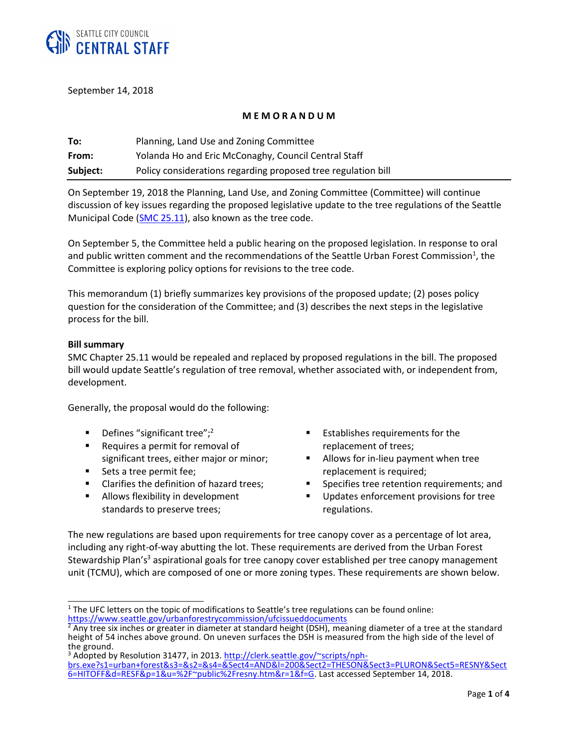

September 14, 2018

## **M E M O R A N D U M**

| To:      | Planning, Land Use and Zoning Committee                       |
|----------|---------------------------------------------------------------|
| From:    | Yolanda Ho and Eric McConaghy, Council Central Staff          |
| Subject: | Policy considerations regarding proposed tree regulation bill |

On September 19, 2018 the Planning, Land Use, and Zoning Committee (Committee) will continue discussion of key issues regarding the proposed legislative update to the tree regulations of the Seattle Municipal Code (SMC [25.11\)](https://library.municode.com/wa/seattle/codes/municipal_code?nodeId=TIT25ENPRHIPR_CH25.11TRPR), also known as the tree code.

On September 5, the Committee held a public hearing on the proposed legislation. In response to oral and public written comment and the recommendations of the Seattle Urban Forest Commission<sup>1</sup>, the Committee is exploring policy options for revisions to the tree code.

This memorandum (1) briefly summarizes key provisions of the proposed update; (2) poses policy question for the consideration of the Committee; and (3) describes the next steps in the legislative process for the bill.

## **Bill summary**

SMC Chapter 25.11 would be repealed and replaced by proposed regulations in the bill. The proposed bill would update Seattle's regulation of tree removal, whether associated with, or independent from, development.

Generally, the proposal would do the following:

- **•** Defines "significant tree";<sup>2</sup>
- Requires a permit for removal of significant trees, either major or minor;
- Sets a tree permit fee;
- Clarifies the definition of hazard trees;
- Allows flexibility in development standards to preserve trees;
- Establishes requirements for the replacement of trees;
- Allows for in-lieu payment when tree replacement is required;
- Specifies tree retention requirements; and
- Updates enforcement provisions for tree regulations.

The new regulations are based upon requirements for tree canopy cover as a percentage of lot area, including any right-of-way abutting the lot. These requirements are derived from the Urban Forest Stewardship Plan's<sup>3</sup> aspirational goals for tree canopy cover established per tree canopy management unit (TCMU), which are composed of one or more zoning types. These requirements are shown below.

 $\overline{\phantom{a}}$  $<sup>1</sup>$  The UFC letters on the topic of modifications to Seattle's tree regulations can be found online:</sup> <https://www.seattle.gov/urbanforestrycommission/ufcissueddocuments>

<sup>2</sup> Any tree six inches or greater in diameter at standard height (DSH), meaning diameter of a tree at the standard height of 54 inches above ground. On uneven surfaces the DSH is measured from the high side of the level of the ground.

<sup>&</sup>lt;sup>3</sup> Adopted by Resolution 31477, in 2013[. http://clerk.seattle.gov/~scripts/nph](http://clerk.seattle.gov/~scripts/nph-brs.exe?s1=urban+forest&s3=&s2=&s4=&Sect4=AND&l=200&Sect2=THESON&Sect3=PLURON&Sect5=RESNY&Sect6=HITOFF&d=RESF&p=1&u=%2F~public%2Fresny.htm&r=1&f=G)[brs.exe?s1=urban+forest&s3=&s2=&s4=&Sect4=AND&l=200&Sect2=THESON&Sect3=PLURON&Sect5=RESNY&Sect](http://clerk.seattle.gov/~scripts/nph-brs.exe?s1=urban+forest&s3=&s2=&s4=&Sect4=AND&l=200&Sect2=THESON&Sect3=PLURON&Sect5=RESNY&Sect6=HITOFF&d=RESF&p=1&u=%2F~public%2Fresny.htm&r=1&f=G) [6=HITOFF&d=RESF&p=1&u=%2F~public%2Fresny.htm&r=1&f=G.](http://clerk.seattle.gov/~scripts/nph-brs.exe?s1=urban+forest&s3=&s2=&s4=&Sect4=AND&l=200&Sect2=THESON&Sect3=PLURON&Sect5=RESNY&Sect6=HITOFF&d=RESF&p=1&u=%2F~public%2Fresny.htm&r=1&f=G) Last accessed September 14, 2018.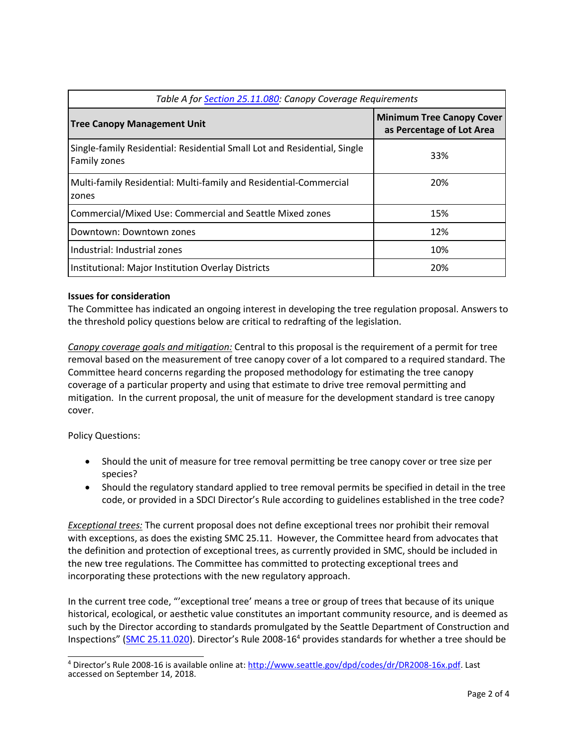| Table A for <b>Section 25.11.080:</b> Canopy Coverage Requirements                       |                                                               |  |
|------------------------------------------------------------------------------------------|---------------------------------------------------------------|--|
| <b>Tree Canopy Management Unit</b>                                                       | <b>Minimum Tree Canopy Cover</b><br>as Percentage of Lot Area |  |
| Single-family Residential: Residential Small Lot and Residential, Single<br>Family zones | 33%                                                           |  |
| Multi-family Residential: Multi-family and Residential-Commercial<br>zones               | 20%                                                           |  |
| Commercial/Mixed Use: Commercial and Seattle Mixed zones                                 | 15%                                                           |  |
| Downtown: Downtown zones                                                                 | 12%                                                           |  |
| Industrial: Industrial zones                                                             | 10%                                                           |  |
| Institutional: Major Institution Overlay Districts                                       | 20%                                                           |  |

## **Issues for consideration**

The Committee has indicated an ongoing interest in developing the tree regulation proposal. Answers to the threshold policy questions below are critical to redrafting of the legislation.

*Canopy coverage goals and mitigation:* Central to this proposal is the requirement of a permit for tree removal based on the measurement of tree canopy cover of a lot compared to a required standard. The Committee heard concerns regarding the proposed methodology for estimating the tree canopy coverage of a particular property and using that estimate to drive tree removal permitting and mitigation. In the current proposal, the unit of measure for the development standard is tree canopy cover.

Policy Questions:

- Should the unit of measure for tree removal permitting be tree canopy cover or tree size per species?
- Should the regulatory standard applied to tree removal permits be specified in detail in the tree code, or provided in a SDCI Director's Rule according to guidelines established in the tree code?

*Exceptional trees:* The current proposal does not define exceptional trees nor prohibit their removal with exceptions, as does the existing SMC 25.11. However, the Committee heard from advocates that the definition and protection of exceptional trees, as currently provided in SMC, should be included in the new tree regulations. The Committee has committed to protecting exceptional trees and incorporating these protections with the new regulatory approach.

In the current tree code, "'exceptional tree' means a tree or group of trees that because of its unique historical, ecological, or aesthetic value constitutes an important community resource, and is deemed as such by the Director according to standards promulgated by the Seattle Department of Construction and Inspections" ([SMC 25.11.020\)](https://library.municode.com/wa/seattle/codes/municipal_code?nodeId=TIT25ENPRHIPR_CH25.11TRPR_25.11.020DE). Director's Rule 2008-16<sup>4</sup> provides standards for whether a tree should be

 $\overline{\phantom{a}}$ <sup>4</sup> Director's Rule 2008-16 is available online at: <u>http://www.seattle.gov/dpd/codes/dr/DR2008-16x.pdf</u>. Last accessed on September 14, 2018.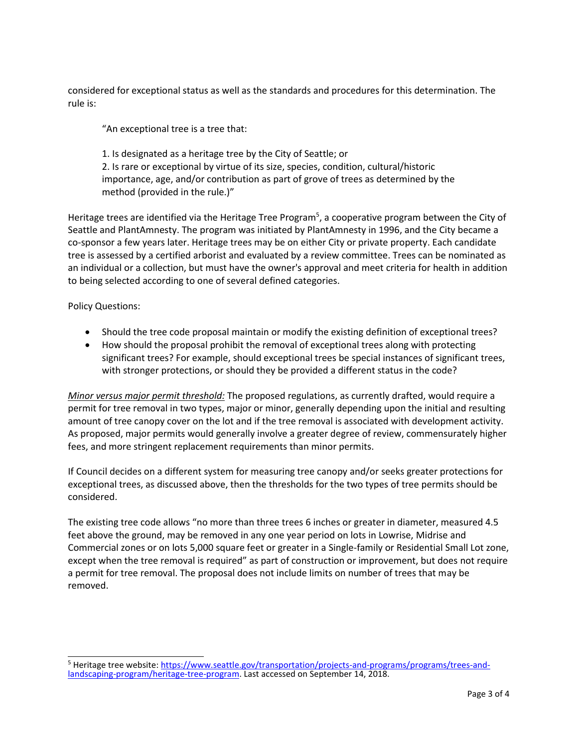considered for exceptional status as well as the standards and procedures for this determination. The rule is:

"An exceptional tree is a tree that:

1. Is designated as a heritage tree by the City of Seattle; or 2. Is rare or exceptional by virtue of its size, species, condition, cultural/historic importance, age, and/or contribution as part of grove of trees as determined by the method (provided in the rule.)"

Heritage trees are identified via the Heritage Tree Program<sup>5</sup>, a cooperative program between the City of Seattle and PlantAmnesty. The program was initiated by PlantAmnesty in 1996, and the City became a co-sponsor a few years later. Heritage trees may be on either City or private property. Each candidate tree is assessed by a certified arborist and evaluated by a review committee. Trees can be nominated as an individual or a collection, but must have the owner's approval and meet criteria for health in addition to being selected according to one of several defined categories.

Policy Questions:

- Should the tree code proposal maintain or modify the existing definition of exceptional trees?
- How should the proposal prohibit the removal of exceptional trees along with protecting significant trees? For example, should exceptional trees be special instances of significant trees, with stronger protections, or should they be provided a different status in the code?

*Minor versus major permit threshold:* The proposed regulations, as currently drafted, would require a permit for tree removal in two types, major or minor, generally depending upon the initial and resulting amount of tree canopy cover on the lot and if the tree removal is associated with development activity. As proposed, major permits would generally involve a greater degree of review, commensurately higher fees, and more stringent replacement requirements than minor permits.

If Council decides on a different system for measuring tree canopy and/or seeks greater protections for exceptional trees, as discussed above, then the thresholds for the two types of tree permits should be considered.

The existing tree code allows "no more than three trees 6 inches or greater in diameter, measured 4.5 feet above the ground, may be removed in any one year period on lots in Lowrise, Midrise and Commercial zones or on lots 5,000 square feet or greater in a Single-family or Residential Small Lot zone, except when the tree removal is required" as part of construction or improvement, but does not require a permit for tree removal. The proposal does not include limits on number of trees that may be removed.

 $\overline{\phantom{a}}$ <sup>5</sup> Heritage tree website[: https://www.seattle.gov/transportation/projects-and-programs/programs/trees-and](https://www.seattle.gov/transportation/projects-and-programs/programs/trees-and-landscaping-program/heritage-tree-program)[landscaping-program/heritage-tree-program.](https://www.seattle.gov/transportation/projects-and-programs/programs/trees-and-landscaping-program/heritage-tree-program) Last accessed on September 14, 2018.